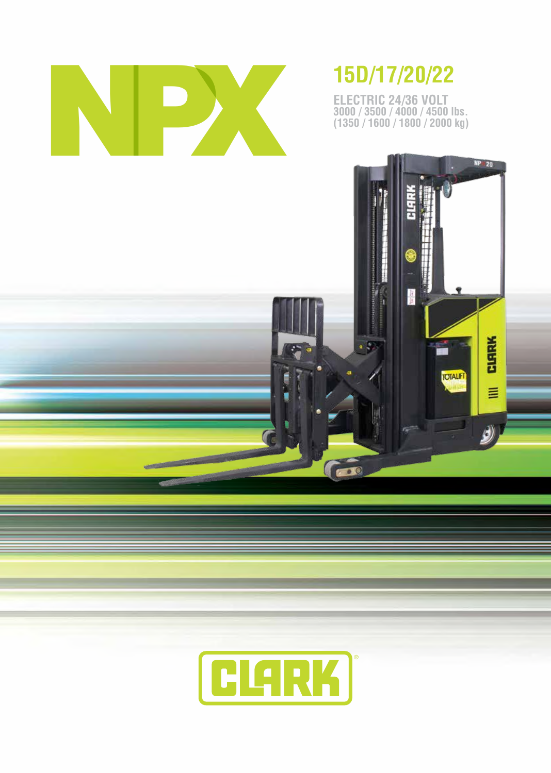

**ELECTRIC 24/36 VOLT 3000 / 3500 / 4000 / 4500 lbs. (1350 / 1600 / 1800 / 2000 kg)**



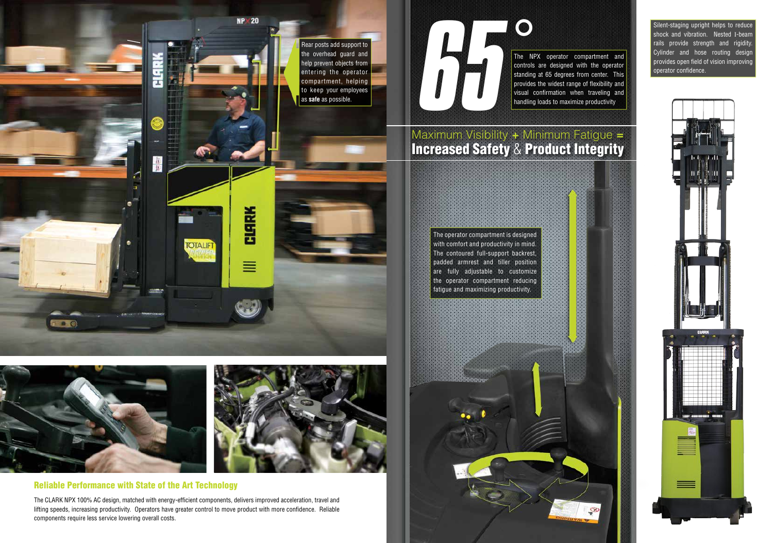## Maximum Visibility  $+$  Minimum Fatigue  $=$ Increased Safety & Product Integrity







The CLARK NPX 100% AC design, matched with energy-efficient components, delivers improved acceleration, travel and lifting speeds, increasing productivity. Operators have greater control to move product with more confidence. Reliable components require less service lowering overall costs.

**65°** Silent-staging upright helps to reduce<br>shock and vibration. Nested I-beam<br>rais provide strength and rigidity.<br>The NPX operator compartment and<br>controls are designed with the operator<br>confidence stand hose routing des

#### Reliable Performance with State of the Art Technology

The NPX operator compartment and controls are designed with the operator standing at 65 degrees from center. This provides the widest range of flexibility and visual confirmation when traveling and handling loads to maximize productivity

The operator compartment is designed with comfort and productivity in mind. The contoured full-support backrest, padded armrest and tiller position are fully adjustable to customize the operator compartment reducing fatigue and maximizing productivity.



shock and vibration. Nested I-beam rails provide strength and rigidity. Cylinder and hose routing design provides open field of vision improving operator confidence.

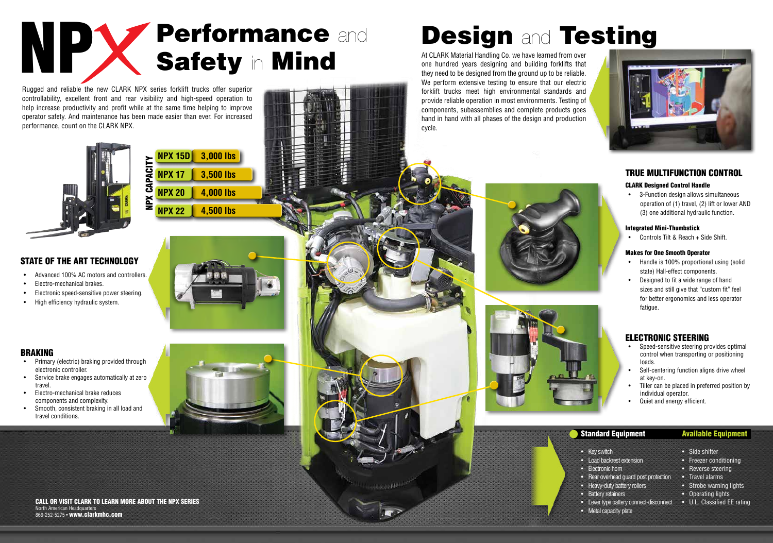#### TRUE MULTIFUNCTION CONTROL

#### CLARK Designed Control Handle

• 3-Function design allows simultaneous operation of (1) travel, (2) lift or lower AND (3) one additional hydraulic function.

#### Integrated Mini-Thumbstick

• Controls Tilt & Reach + Side Shift.

#### Makes for One Smooth Operator

- Handle is 100% proportional using (solid state) Hall-effect components.
- Designed to fit a wide range of hand sizes and still give that "custom fit" feel for better ergonomics and less operator fatigue.

**CALL OR VISIT CLARK TO LEARN MORE ABOUT THE NPX SERIES** • Lever type battery connect-disconnect • U.L. Classified EE rating North American Headquarters 866-252-5275 • www.clarkmhc.com

# Design and Testing

#### • Key switch

- Load backrest extension
- Electronic horn
- Rear overhead guard post protection
- Heavy-duty battery rollers
- Battery retainers
- Metal capacity plate

#### Available Equipment

- Side shifter
- Freezer conditioning
- Reverse steering
- Travel alarms
- Strobe warning lights
- Operating lights
- 



# NP Y Performance and Safety in Mind

Rugged and reliable the new CLARK NPX series forklift trucks offer superior controllability, excellent front and rear visibility and high-speed operation to help increase productivity and profit while at the same time helping to improve operator safety. And maintenance has been made easier than ever. For increased performance, count on the CLARK NPX.



At CLARK Material Handling Co. we have learned from over one hundred years designing and building forklifts that they need to be designed from the ground up to be reliable. We perform extensive testing to ensure that our electric forklift trucks meet high environmental standards and provide reliable operation in most environments. Testing of components, subassemblies and complete products goes hand in hand with all phases of the design and production cycle.





#### STATE OF THE ART TECHNOLOGY

- Advanced 100% AC motors and controllers.
- Electro-mechanical brakes.
- Electronic speed-sensitive power steering.
- High efficiency hydraulic system.

#### BRAKING

- Primary (electric) braking provided through electronic controller.
- Service brake engages automatically at zero travel.
- Electro-mechanical brake reduces components and complexity.
- Smooth, consistent braking in all load and travel conditions.



#### ELECTRONIC STEERING

- Speed-sensitive steering provides optimal control when transporting or positioning loads.
- Self-centering function aligns drive wheel at key-on.
- Tiller can be placed in preferred position by individual operator.
- Quiet and energy efficient.

#### Standard Equipment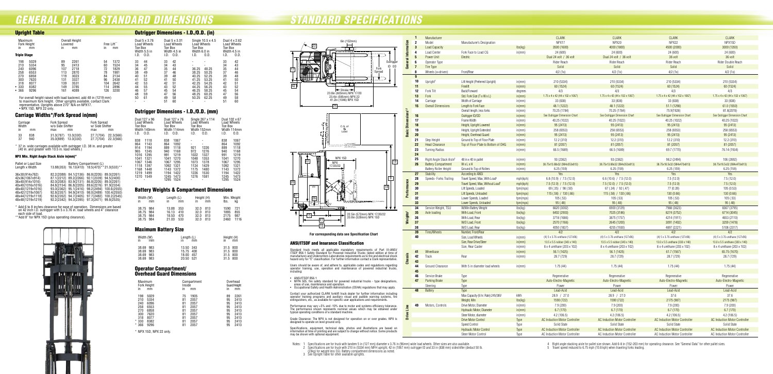## *STANDARD SPECIFICATIONS GENERAL DATA & STANDARD DIMENSIONS*

| <b>Upright Table</b>                                                                                                                          |                                                                                                                                   |                                                                                                                               | Ou                                                 |
|-----------------------------------------------------------------------------------------------------------------------------------------------|-----------------------------------------------------------------------------------------------------------------------------------|-------------------------------------------------------------------------------------------------------------------------------|----------------------------------------------------|
| Maximum<br>Fork Height<br>in<br>mm<br><b>Triple Stage</b>                                                                                     | <b>Overall Height</b><br>Lowered<br>ın<br>mm                                                                                      | Free Lift <sup>**</sup><br>in<br>mm                                                                                           | Dua<br>Loa<br>Toe<br>Wid<br>I.D.                   |
| 198<br>5029<br>210<br>5334<br>240<br>6096<br>258<br>6553<br>270<br>6858<br>300<br>7620<br>318<br>8077<br>330<br>8382<br>٠<br>9296<br>366<br>٠ | 2261<br>89<br>95<br>2413<br>107<br>2718<br>113<br>2870<br>119<br>3023<br>131<br>3327<br>139<br>3531<br>149<br>3785<br>161<br>4089 | 1372<br>54<br>60<br>1524<br>72<br>1829<br>78<br>1981<br>2134<br>84<br>96<br>2438<br>104<br>2642<br>2896<br>114<br>126<br>3200 | 33<br>34<br>36<br>38<br>40<br>41<br>42<br>44<br>46 |

For overall height raised with load backrest, add 48 in (1219 mm) to maximum fork height. Other uprights available, contact Clark representative. Uprights above 270" N/A on NPX17. • NPX 15D, NPX 22 only.

#### Carriage Widths\*/Fork Spread in(mm)

| Carriage<br>Width |            | <b>Fork Spread</b><br>w/o Side Shifter |                        | <b>Fork Spread</b><br>w/ Side Shifter |                        |
|-------------------|------------|----------------------------------------|------------------------|---------------------------------------|------------------------|
| ın                | mm         | max                                    | mın                    | max                                   | min                    |
| 33<br>37          | 838<br>940 | 31.0(787)<br>35.0(889)                 | 13.0(330)<br>13.0(330) | 27.7(704)<br>27.7(704)                | 22.3(566)<br>22.3(566) |

\* 37 in. wide carriages available with outrigger I.D. 38 in. and greater (40 in. and greater with 10.5 in. load wheels.)

#### NPX Min. Right Angle Stack Aisle in(mm)\*

| Pallet or Load Size<br>Length x Width |            |            | Battery Compartment (L) | 13.88(353) 16.13(410) 18.5(470) <sup>*</sup> *21.0(533)** |
|---------------------------------------|------------|------------|-------------------------|-----------------------------------------------------------|
| 36x30(914x762)                        | 82.2(2088) | 84.1(2136) | 86.8(2205)              | 89.0(2261)                                                |
| 42x36(1067x914)                       | 87.1(2212) | 89.2(2266) | 92.1(2339)              | 94.5(2400)                                                |
| 36x40(914x1016)                       | 82.0(2083) | 83.9(2131) | 86.8(2205)              | 89.0(2261)                                                |
| 40x40(1016x1016)                      | 84.8(2154) | 86.8(2205) | 89.6(2276)              | 91.9(2334)                                                |
| 48x40(1219x1016)                      | 93.0(2362) | 95.1(2416) | 98.2(2494)              | 100.6(2555)                                               |
| 48x42(1219x1067)                      | 92.8(2357) | 94.9(2410) | 98.0(2489)              | 100.4(2550)                                               |
| 48x44(1219x1118)                      | 92.6(2352) | 94.7(2405) | 97.7(2482)              | 100.2(2545)                                               |
| 48x48(1219x1219)                      | 92.2(2342) | 94.3(2395) | 97.3(2471)              | 99.8(2535)                                                |

- 
- ANSI/ITSDF B56.1<br>• NFPA 505, fire safety standard for powered industrial trucks type designations, areas of use, maintenance and operation. • Occupational Safety and Health Administration (OSHA) regulations that may apply.

\* Add 6 to 8 inches clearance for ease of operation. Dimensions are based on 42 inch I.D. outrigger with 5 x 3.76 in. load wheels and 4" clearance each side of load.

\*\*Add 8" for NPX 15D (plus operating clearance).



#### **For corresponding data see Specification Chart**

- Notes: 1 Specifications are for truck with tandem 5 in (127 mm) diameter x 3.76 in (96mm) wide load wheels. Other sizes are also available. 2 Specifications are for truck with 210 in (5334 mm) MFH upright, 42 in (1067 mm) outrigger ID and 33 in (838 mm) sideshifter (deduct 50 lb. (23kg) for weight less SS). Battery compartment dimensions as noted.
	- 3 See Upright Table for other available uprights.
	-

# *STANDARD SPECIFICATIONS*

#### ANSI/ITSDF and Insurance Classification

Standard truck meets all applicable mandatory requirements of Part III-ANSI/<br>ITSDF B56.1 Safety Standard for Powered Industrial Trucks (latest edition at time of<br>manufacture) and Underwriters Laboratories requirements as t

Users should be aware of, and adhere to, applicable codes and regulations regarding operator training, use, operation and maintenance of powered industrial trucks, including:

Contact your authorized CLARK forklift truck dealer for further information including operator training programs and auxiliary visual and audible warning systems, fire extinguishers, etc., as available for specific user applications and requirements.

Performance may vary +5% and -10% due to motor and systems efficiency tolerance. The performance shown represents nominal values which may be obtained under typical operating conditions of a standard machine.

Grade Clearance: The NPX is not designed for operation on or over grades. NPX is designed to operate on level ground only.

Specifications, equipment, technical data, photos and illustrations are based on information at time of printing and are subject to change without notice. Some products may be shown with optional equipment.

#### Outrigger Dimensions - I.D./O.D. (in)

| ift**<br>mm                                                          | Toe Box<br>I.D.                                                | Dual 5 x 3.76<br><b>Load Wheels</b><br>Width 5.5 in<br>0.D.    | Toe Box<br>I.D.                                                      | Dual 5 x 3.01<br>Load Wheels<br>Width 4.5 in<br>0.D.                 | Load Wheels<br>Toe Box<br>Width 6.0 in<br>I.D.                                | Single 10.5 x 4.5<br>0.D.                                                     | Dual 4 x 2.62<br>Load Wheels<br>Toe Box<br>Width 4.5 in<br>I.D.      | 0.D.                                                                 |
|----------------------------------------------------------------------|----------------------------------------------------------------|----------------------------------------------------------------|----------------------------------------------------------------------|----------------------------------------------------------------------|-------------------------------------------------------------------------------|-------------------------------------------------------------------------------|----------------------------------------------------------------------|----------------------------------------------------------------------|
| 1372<br>1524<br>1829<br>1981<br>2134<br>2438<br>2642<br>2896<br>3200 | 33<br>34<br>36<br>38<br>40<br>41<br>42<br>44<br>46<br>48<br>50 | 44<br>45<br>47<br>49<br>51<br>52<br>53<br>55<br>57<br>59<br>61 | 33<br>34<br>35<br>37<br>39<br>41<br>42<br>43<br>45<br>47<br>49<br>51 | 42<br>43<br>44<br>46<br>48<br>50<br>51<br>52<br>54<br>56<br>58<br>60 | 36.25<br>38.25<br>40.25<br>41.25<br>42.25<br>44.25<br>46.25<br>48.25<br>50.25 | 48.25<br>50.25<br>52.25<br>53.25<br>54.25<br>56.25<br>58.25<br>60.25<br>62.25 | 33<br>34<br>35<br>37<br>39<br>41<br>42<br>43<br>45<br>47<br>49<br>51 | 42<br>43<br>44<br>46<br>48<br>50<br>51<br>52<br>54<br>56<br>58<br>60 |

#### Outrigger Dimensions - I.D./O.D. (mm)

| Dual 127 x 96                                                                                                                                                                 | Dual 127 x 76                                                                                                                                                                           | Single 267 x 114                                                                                                                           | Dual 102 x 67                                                                                                                                                                           |
|-------------------------------------------------------------------------------------------------------------------------------------------------------------------------------|-----------------------------------------------------------------------------------------------------------------------------------------------------------------------------------------|--------------------------------------------------------------------------------------------------------------------------------------------|-----------------------------------------------------------------------------------------------------------------------------------------------------------------------------------------|
| Load Wheels                                                                                                                                                                   | Load Wheels                                                                                                                                                                             | Load Wheels                                                                                                                                | Load Wheels                                                                                                                                                                             |
| Toe Box                                                                                                                                                                       | Toe Box                                                                                                                                                                                 | Toe Box                                                                                                                                    | Toe Box                                                                                                                                                                                 |
| Width 140mm                                                                                                                                                                   | Width 114mm                                                                                                                                                                             | Width 152mm                                                                                                                                | Width 114mm                                                                                                                                                                             |
| 0.D.                                                                                                                                                                          | 0.D.                                                                                                                                                                                    | I.D.                                                                                                                                       | I.D.                                                                                                                                                                                    |
| I.D.                                                                                                                                                                          | I.D.                                                                                                                                                                                    | 0.D.                                                                                                                                       | 0.D.                                                                                                                                                                                    |
| 838<br>1118<br>864<br>1143<br>914<br>1194<br>965<br>1245<br>1016<br>1295<br>1041<br>1321<br>1346<br>1067<br>1397<br>1118<br>1168<br>1448<br>1219<br>1499<br>1270<br>1549<br>- | 838<br>1067<br>864<br>1092<br>889<br>1118<br>940<br>1168<br>991<br>1219<br>1041<br>1270<br>1067<br>1295<br>1092<br>1321<br>1372<br>1143<br>1194<br>1422<br>1245<br>1473<br>1295<br>1524 | 921<br>1226<br>972<br>1276<br>1022<br>1327<br>1048<br>1353<br>1073<br>1378<br>1124<br>1429<br>1175<br>1480<br>1226<br>1530<br>1276<br>1581 | 838<br>1067<br>864<br>1092<br>889<br>1118<br>940<br>1168<br>991<br>1219<br>1041<br>1270<br>1067<br>1295<br>1092<br>1321<br>1143<br>1372<br>1194<br>1422<br>1245<br>1473<br>1295<br>1524 |

#### Battery Weights & Compartment Dimensions

| Width (W)<br>in | mm | Length (L)<br>in | mm  | Height (H)<br>in | mm  | Min. Weight<br>lbs. | ka   |
|-----------------|----|------------------|-----|------------------|-----|---------------------|------|
| 38.75 984       |    | 13.88            | 353 | 32.0             | 813 | 1590                | 721  |
| 38.75 984       |    | 16.13            | 410 | 32.0             | 813 | 1885                | 855  |
| 38.75 984       |    | 18.50            | 470 | 32.0             | 813 | 2175                | 987  |
| 38.75 984       |    | 21.00            | 533 | 32.0             | 813 | 2460                | 1116 |

#### Maximum Battery Size

| Width (W)<br>$\mathsf{in}$                       | mm | Length (L)<br>$\mathsf{in}$                      | mm | Height (H)<br>$\mathsf{in}$                  | mm |
|--------------------------------------------------|----|--------------------------------------------------|----|----------------------------------------------|----|
| 38.69 983<br>38.69 983<br>38.69 983<br>38.69 983 |    | 13.50 343<br>15.75 400<br>18.00 457<br>20.50 521 |    | 31.5 800<br>31.5 800<br>31.5 800<br>31.5 800 |    |

#### Operator Compartment/ Overhead Guard Dimensions

| Maximum<br>in                                           | <b>Fork Height</b><br>mm                                     | ın                                           | Inside | Compartment<br>mm                                            | ın                                           | Overhead<br><b>Guard Height</b><br>mm                        |
|---------------------------------------------------------|--------------------------------------------------------------|----------------------------------------------|--------|--------------------------------------------------------------|----------------------------------------------|--------------------------------------------------------------|
| 198<br>210<br>240<br>258<br>270<br>300<br>318<br>$*330$ | 5029<br>5334<br>6096<br>6553<br>6858<br>7620<br>8077<br>8382 | 75<br>81<br>81<br>81<br>81<br>81<br>81<br>81 |        | 1905<br>2057<br>2057<br>2057<br>2057<br>2057<br>2057<br>2057 | 89<br>95<br>95<br>95<br>95<br>95<br>95<br>95 | 2261<br>2413<br>2413<br>2413<br>2413<br>2413<br>2413<br>2413 |
| $*366$                                                  | 9296                                                         | 81                                           |        | 2057                                                         | 95                                           | 2413                                                         |

\* NPX 15D, NPX 22 only.





4 Right angle stacking aisle for pallet size shown. Add 6-8 in (152-203 mm) for operating clearance. See "General Data" for other pallet sizes. 5 Travel speed reduced to 6.75 mph (10.8 kph) when traveling forks leading.

|                                       | 1              | Manufacturer                         |                                                       |                                      | <b>CLARK</b>                                                          | <b>CLARK</b>                                                          | <b>CLARK</b>                                                                 | <b>CLARK</b>                                                                 |
|---------------------------------------|----------------|--------------------------------------|-------------------------------------------------------|--------------------------------------|-----------------------------------------------------------------------|-----------------------------------------------------------------------|------------------------------------------------------------------------------|------------------------------------------------------------------------------|
| Information                           | $\overline{2}$ | Model                                | Manufacturer's Designation                            |                                      | NPX17                                                                 | NPX20                                                                 | NPX22                                                                        | NPX15D                                                                       |
|                                       | $\mathbf{3}$   | <b>Load Capacity</b>                 |                                                       | $\mathsf{lbs}(\mathsf{k}\mathsf{g})$ | 3500 (1600)                                                           | 4000 (1800)                                                           | 4500 (2000)                                                                  | 3000 (1350)                                                                  |
|                                       | 4              | Load Center                          | Fork Face to Load CG                                  | in(mm)                               | 24 (600)                                                              | 24 (600)                                                              | 24 (600)                                                                     | 24 (600)                                                                     |
|                                       | 5              | <b>Power Unit</b>                    | Electric                                              |                                      | Dual 24 volt / 36 volt                                                | Dual 24 volt / 36 volt                                                | 36 volt                                                                      | 36 volt                                                                      |
| General                               | 6              | Operator Type                        |                                                       |                                      | Rider Reach                                                           | <b>Rider Reach</b>                                                    | Rider Reach                                                                  | Rider Double Reach                                                           |
|                                       | $\overline{7}$ | Tire Type                            |                                                       |                                      | Solid                                                                 | Solid                                                                 | Solid                                                                        | Solid                                                                        |
|                                       | 8              | Wheels (x=driven)                    | Front/Rear                                            |                                      | 4/2(1x)                                                               | 4/2(1x)                                                               | 4/2(1x)                                                                      | 4/2(1x)                                                                      |
|                                       |                |                                      |                                                       |                                      |                                                                       |                                                                       |                                                                              |                                                                              |
|                                       | 9              |                                      |                                                       |                                      |                                                                       |                                                                       |                                                                              |                                                                              |
|                                       | 10             | Upright <sup>3</sup>                 | Lift Height (Preferred Upright)                       | in(mm)                               | 210 (5334)                                                            | 210 (5334)                                                            | 210 (5334)                                                                   | 210 (5334)                                                                   |
|                                       | 11             |                                      | Freelift                                              | in(mm)                               | 60 (1524)                                                             | 60 (1524)                                                             | 60 (1524)                                                                    | 60 (1524)                                                                    |
|                                       | 12             | Fork Tilt                            | Back/Forward                                          | degrees                              | 4/3                                                                   | 4/3                                                                   | 4/3                                                                          | 4/3                                                                          |
|                                       | 13             | Fork                                 | Std. Fork Size (T x W x L)                            | in(mm)                               | 1.75 x 4 x 42 (44 x 102 x 1067)                                       | 1.75 x 4 x 42 (44 x 102 x 1067)                                       | 1.75 x 4 x 42 (44 x 102 x 1067)                                              | 1.75 x 4 x 42 (44 x 102 x 1067)                                              |
|                                       | 14             | Carriage                             | Width of Carriage                                     | in(mm)                               | 33 (838)                                                              | 33 (838)                                                              | 33 (838)                                                                     | 33 (838)                                                                     |
|                                       | 15             | <b>Overall Dimensions</b>            | Length to Fork Face                                   | in(mm)                               | 48.1 (1222)                                                           | 48.1 (1222)                                                           | 51.1 (1298)                                                                  | 61.0 (1550)                                                                  |
|                                       |                |                                      | Overall length, less forks                            | in(mm)                               | 70.25 (1784)                                                          | 70.25 (1784)                                                          | 75.9(1928)                                                                   | 81.8(2078)                                                                   |
|                                       | 16             |                                      | Outrigger ID/OD                                       | in(mm)                               | See Outrigger Dimension Chart                                         | See Outrigger Dimension Chart                                         | See Outrigger Dimension Chart                                                | See Outrigger Dimension Chart                                                |
|                                       | 17             |                                      | Frame Width                                           | in(mm)                               | 40.25 (1022)                                                          | 40.25 (1022)                                                          | 40.25 (1022)                                                                 | 40.25 (1022)                                                                 |
|                                       | 18             |                                      | Height, Upright Lowered                               | in(mm)                               | 95 (2413)                                                             | 95 (2413)                                                             | 95 (2413)                                                                    | 95 (2413)                                                                    |
| <b>Basic Dimensions<sup>1,2</sup></b> | 19             |                                      | Height, Upright Extended                              | in(mm)                               | 258 (6553)                                                            | 258 (6553)                                                            | 258 (6553)                                                                   | 258 (6553)                                                                   |
|                                       | 20             |                                      | Height, Overhead Guard                                | in(mm)                               | 95 (2413)                                                             | 95 (2413)                                                             | 95 (2413)                                                                    | 95 (2413)                                                                    |
|                                       | 21             | Step Height                          | Ground to Top of Floor Plate                          |                                      | 12.2 (310)                                                            | 12.2 (310)                                                            | 12.2 (310)                                                                   | 12.2 (310)                                                                   |
|                                       |                | <b>Head Clearance</b>                |                                                       | in(mm)                               |                                                                       |                                                                       |                                                                              |                                                                              |
|                                       | 22             |                                      | Top of Floor Plate to Bottom of OHG                   | in(mm)                               | 81 (2057)                                                             | 81 (2057)                                                             | 81 (2057)                                                                    | 81 (2057)                                                                    |
|                                       | 23             | <b>Turning Radius</b>                |                                                       | in(mm)                               | 66.5 (1689)                                                           | 66.5 (1689)                                                           | 69.7 (1770)                                                                  | 76.14 (1934)                                                                 |
|                                       | 24             |                                      |                                                       |                                      |                                                                       |                                                                       |                                                                              |                                                                              |
|                                       | 25             | Right Angle Stack Aisle <sup>4</sup> | 48 in x 40 in pallet                                  | in(mm)                               | 93 (2362)                                                             | 93 (2362)                                                             | 98.2 (2494)                                                                  | 106 (2692)                                                                   |
|                                       | 26             | <b>Battery Compartment</b>           | WxLxH                                                 | in(mm)                               | 38.75x13.88x32 (984x353x813)                                          | 38.75x13.88x32 (984x353x813)                                          | 38.75x18.5x32 (984x470x813)                                                  | 38.75x18.5x32 (984x470x813)                                                  |
|                                       |                | <b>Battery Roller Height</b>         | Ground to Top of Rollers                              | in(mm)                               | 6.25(159)                                                             | 6.25(159)                                                             | 6.25(159)                                                                    | 6.25(159)                                                                    |
|                                       | 27             | Stability                            | According to ANSI                                     |                                      | Yes                                                                   | Yes                                                                   | Yes                                                                          | Yes                                                                          |
|                                       | 28             | Speeds- Forks Trailing               | Travel Speed, Max, With Load <sup>5</sup>             | mph(kph)                             | 6.8(10.9) / 7.5(12.0)                                                 | $6.6(10.6)$ / 7.5 (12.0)                                              | 7.5(12.0)                                                                    | 7.5(12.0)                                                                    |
|                                       | 29             |                                      | Travel Speed, Max, Without Load <sup>5</sup>          | mph(kph)                             | 7.5 (12.0) / 7.5 (12.0)                                               | 7.5(12.0) / 7.5(12.0)                                                 | 7.5(12.0)                                                                    | 7.5(12.0)                                                                    |
| Performance                           | 30             |                                      | Lift Speeds, Loaded                                   | fpm(mps)                             | 69 (.35) / 98 (.50)                                                   | 67(.34) / 92(.47)                                                     | 77 (0.39)                                                                    | 105 (0.53)                                                                   |
|                                       | 31             |                                      | Lift Speeds, Unloaded                                 | fpm(mps)                             | 115(.58) / 130(.66)                                                   | 115 (.58) / 130 (.66)                                                 | 130 (0.66)                                                                   | 130 (0.66)                                                                   |
|                                       | 32             |                                      | Lower Speeds, Loaded                                  | fpm(mps)                             | 105(.53)                                                              | 105(.53)                                                              | 105(.53)                                                                     | 105(.53)                                                                     |
|                                       | 33             |                                      | Lower Speeds, Unloaded                                | fpm(mps)                             | 95(.48)                                                               | 95(.48)                                                               | 95(.48)                                                                      | 95(.48)                                                                      |
|                                       | 34             | Service Weight, TSU                  | W/Min Battery Weight                                  | $\mathsf{lbs}(\mathsf{kg})$          | 6620 (3002)                                                           | 6900 (3129)                                                           | 7988 (3623)                                                                  | 8367 (3795)                                                                  |
|                                       | 35             | Axle loading                         | With Load, Front                                      | $\mathsf{lbs}(\mathsf{kg})$          | 6402 (2903)                                                           | 7025 (3186)                                                           | 8274 (3752)                                                                  | 6714 (3045)                                                                  |
| Weights <sup>2</sup>                  | 36             |                                      | With Load, Rear                                       | $\mathsf{lbs}(\mathsf{kg})$          | 3718 (1686)                                                           | 3875 (1757)                                                           | 4214 (1911)                                                                  | 4653 (2110)                                                                  |
|                                       | 37             |                                      | W/O Load, Front                                       | $\mathsf{lbs}(\mathsf{k}\mathsf{g})$ | 2570 (1166)                                                           | 2645 (1200)                                                           | 3091 (1402)                                                                  | 3259 (1478)                                                                  |
|                                       | 38             |                                      | W/O Load, Rear                                        | $\mathsf{lbs}(\mathsf{kg})$          | 4050 (1837)                                                           | 4255 (1930)                                                           | 4897 (2221)                                                                  | 5108 (2317)                                                                  |
|                                       | 39             | Tires/Wheels                         | Number, Front/Rear                                    |                                      | 4/2                                                                   | 4/2                                                                   | 4/2                                                                          | 4/2                                                                          |
|                                       |                |                                      |                                                       |                                      |                                                                       |                                                                       |                                                                              |                                                                              |
|                                       | 40             |                                      | Size, Load Wheels                                     | in(mm)                               | (4) 5 x 3.76 urethane (127x96)                                        | (4) 5 x 3.76 urethane (127x96)                                        | (4) 5 x 3.76 urethane (127x96)                                               | (4) 5 x 3.76 urethane (127x96)                                               |
|                                       |                |                                      | Size, Rear Drive/Steer                                | in(mm)                               | 13.5 x 5.5 rubber (343 x 140)                                         | 13.5 x 5.5 rubber (343 x 140)                                         | 13.0 x 5.5 urethane (330 x 140)                                              | 13.0 x 5.5 urethane (330 x 140)                                              |
|                                       |                |                                      | Size, Rear Caster                                     | in(mm)                               | 8 x 4 urethane (203 x 102)                                            | 8 x 4 urethane (203 x 102)                                            | 8 x 4 urethane (203 x 102)                                                   | 8 x 4 urethane (203 x 102)                                                   |
|                                       | 41             | Wheelbase                            |                                                       | in(mm)                               | 56.1 (1425)                                                           | 56.1(1425)                                                            | 61.7 (1567)                                                                  | 65.75 (1670)                                                                 |
|                                       | 42             | Track                                | Rear                                                  | in(mm)                               | 28.7 (729)                                                            | 28.7 (729)                                                            | 28.7 (729)                                                                   | 28.7 (729)                                                                   |
| Chassis                               | 43             |                                      |                                                       |                                      |                                                                       |                                                                       |                                                                              |                                                                              |
|                                       | 44             | Ground Clearance                     | With 5 in diameter load wheels                        | in(mm)                               | 1.75(44)                                                              | 1.75(44)                                                              | 1.75(44)                                                                     | 1.75(44)                                                                     |
|                                       | 45             |                                      |                                                       |                                      |                                                                       |                                                                       |                                                                              |                                                                              |
|                                       | 46             | Service Brake                        | Type                                                  |                                      | Regenerative                                                          | Regenerative                                                          | Regenerative                                                                 | Regenerative                                                                 |
|                                       | 47             | <b>Parking Brake</b>                 | Type                                                  |                                      | Auto-Electro-Magnetic                                                 | Auto-Electro-Magnetic                                                 | Auto-Electro-Magnetic                                                        | Auto-Electro-Magnetic                                                        |
|                                       |                | Steering                             | Type                                                  |                                      | Power                                                                 | Power                                                                 | Power                                                                        | Power                                                                        |
|                                       |                |                                      |                                                       |                                      |                                                                       | Lead-Acid                                                             | Lead-Acid                                                                    | Lead-Acid                                                                    |
|                                       | 48             | Battery                              | Type                                                  |                                      | Lead-Acid                                                             |                                                                       |                                                                              |                                                                              |
|                                       |                |                                      | Max Capacity (6 hr. Rate) 24V/36V                     | kWh                                  | 28.9 / 27.0                                                           | 28.9 / 27.0                                                           | 37.6                                                                         | 37.6                                                                         |
|                                       |                |                                      |                                                       |                                      |                                                                       |                                                                       |                                                                              |                                                                              |
|                                       | 49             |                                      | Weight, Min                                           | $\mathsf{lbs}(\mathsf{k}\mathsf{g})$ | 1590 (722)                                                            | 1590 (722)                                                            | 2175 (987)                                                                   | 2175 (987)                                                                   |
|                                       |                | Motors, Controls                     | Drive Motor, Diameter                                 | in(mm)                               | 7.9 (200)                                                             | 7.9 (200)                                                             | 7.9 (200)                                                                    | 7.9 (200)                                                                    |
|                                       |                |                                      | Hydraulic Motor, Diameter                             | in(mm)                               | 6.7(170)                                                              | 6.7(170)                                                              | 6.7(170)                                                                     | 6.7(170)                                                                     |
| Drive Line                            |                |                                      | Steer Motor, diameter                                 | in(mm)                               | 4.2(106.5)                                                            | 4.2(106.5)                                                            | 4.2(106.5)                                                                   | 4.2(106.5)                                                                   |
|                                       |                |                                      | <b>Drive Motor Control</b>                            | Type                                 | <b>AC Induction Motor Controller</b>                                  | <b>AC Induction Motor Controller</b>                                  | <b>AC Induction Motor Controller</b>                                         | <b>AC Induction Motor Controller</b>                                         |
|                                       |                |                                      | Speed Control                                         | Type                                 | Solid State                                                           | Solid State                                                           | Solid State                                                                  | Solid State                                                                  |
|                                       |                |                                      | <b>Hydraulic Motor Control</b><br>Steer Motor Control | <b>Type</b><br>Type                  | <b>AC Induction Motor Controller</b><br>AC Induction Motor Controller | <b>AC Induction Motor Controller</b><br>AC Induction Motor Controller | <b>AC Induction Motor Controller</b><br><b>AC Induction Motor Controller</b> | <b>AC Induction Motor Controller</b><br><b>AC Induction Motor Controller</b> |